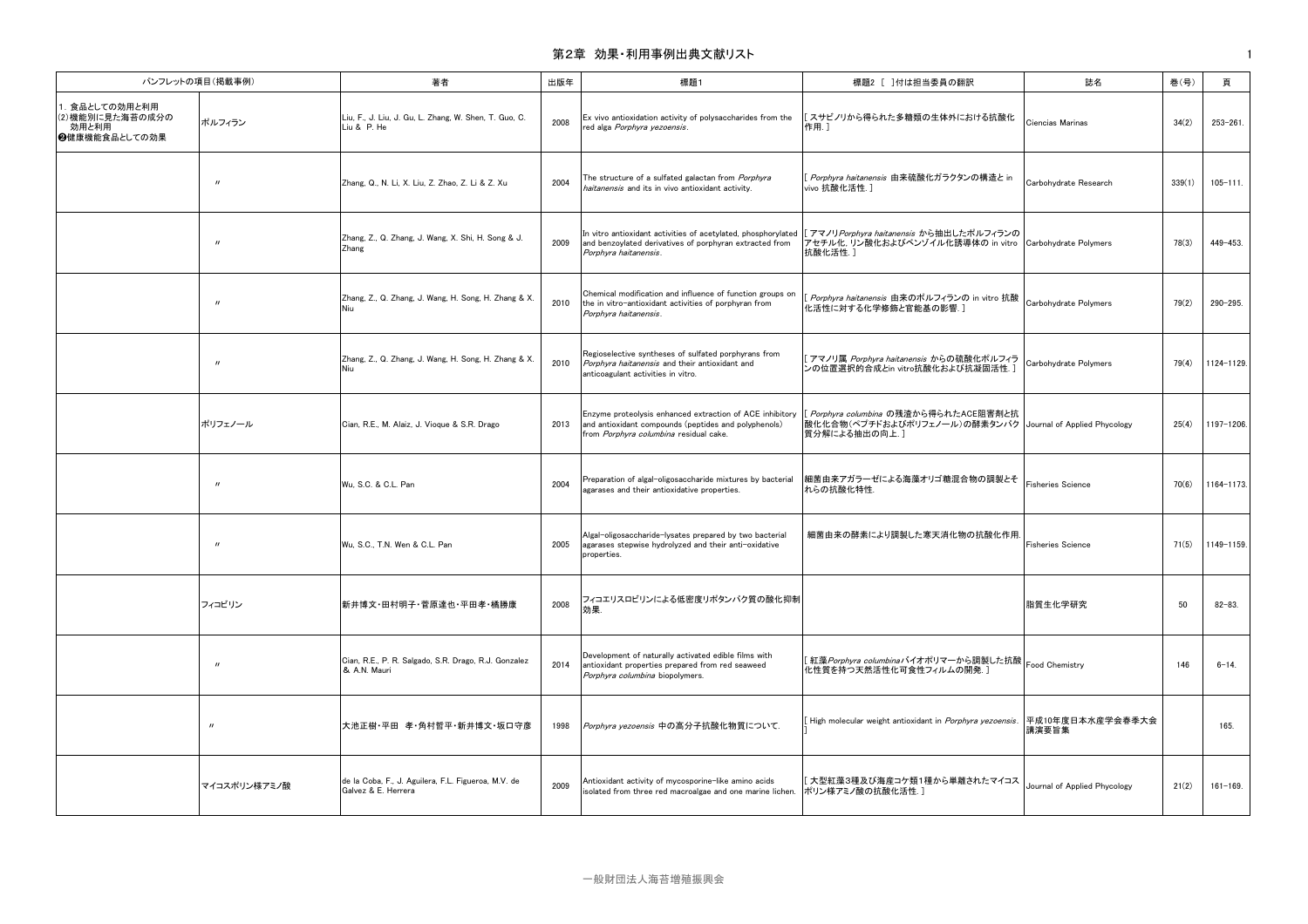# 第2章 効果・利用事例出典文献リスト すいしょう しょうしょう しょうしょう しょうしょう しょうしゅう しょうしゅう しょうしゅう

| パンフレットの項目(掲載事例)                                              |                   | 著者                                                                         | 出版年  | 標題1                                                                                                                                                        | 標題2 [ ]付は担当委員の翻訳                                                                                                       | 誌名                           | 巻(号)   | 頁             |
|--------------------------------------------------------------|-------------------|----------------------------------------------------------------------------|------|------------------------------------------------------------------------------------------------------------------------------------------------------------|------------------------------------------------------------------------------------------------------------------------|------------------------------|--------|---------------|
| 1. 食品としての効用と利用<br>(2) 機能別に見た海苔の成分の<br>効用と利用<br>❷健康機能食品としての効果 | ポルフィラン            | Liu, F., J. Liu, J. Gu, L. Zhang, W. Shen, T. Guo, C.<br>Liu & P. He       | 2008 | Ex vivo antioxidation activity of polysaccharides from the<br>red alga Porphyra yezoensis.                                                                 | [スサビノリから得られた多糖類の生体外における抗酸化<br>作用.]                                                                                     | Ciencias Marinas             | 34(2)  | $253 - 261$ . |
|                                                              | $^{\prime}$       | Zhang, Q., N. Li, X. Liu, Z. Zhao, Z. Li & Z. Xu                           | 2004 | The structure of a sulfated galactan from Porphyra<br>haitanensis and its in vivo antioxidant activity.                                                    | [ <i>Porphyra haitanensis</i> 由来硫酸化ガラクタンの構造と in<br>vivo 抗酸化活性.]                                                        | Carbohydrate Research        | 339(1) | $105 - 111.$  |
|                                                              | $^{\prime\prime}$ | Zhang, Z., Q. Zhang, J. Wang, X. Shi, H. Song & J.<br>Zhang                | 2009 | In vitro antioxidant activities of acetylated, phosphorylated<br>and benzoylated derivatives of porphyran extracted from<br>Porphyra haitanensis.          | [アマノリ Porphyra haitanensis から抽出したポルフィランの<br>アセチル化, リン酸化およびベンゾイル化誘導体の in vitro Carbohydrate Polymers<br>抗酸化活性.]         |                              | 78(3)  | 449-453.      |
|                                                              | $\mathbf{u}$      | Zhang, Z., Q. Zhang, J. Wang, H. Song, H. Zhang & X.<br>Niu.               | 2010 | Chemical modification and influence of function groups on<br>the in vitro-antioxidant activities of porphyran from<br>Porphyra haitanensis.                | Porphyra haitanensis 由来のポルフィランの in vitro 抗酸<br>化活性に対する化学修飾と官能基の影響.]                                                    | Carbohydrate Polymers        | 79(2)  | 290-295.      |
|                                                              | $^{\prime}$       | Zhang, Z., Q. Zhang, J. Wang, H. Song, H. Zhang & X.<br>Niu.               | 2010 | Regioselective syntheses of sulfated porphyrans from<br>Porphyra haitanensis and their antioxidant and<br>anticoagulant activities in vitro.               | [アマノリ属 Porphyra haitanensis からの硫酸化ポルフィラ<br>ンの位置選択的合成とin vitro抗酸化および抗凝固活性.                                              | Carbohydrate Polymers        | 79(4)  | 1124-1129.    |
|                                                              | ポリフェノール           | Cian, R.E., M. Alaiz, J. Vioque & S.R. Drago                               | 2013 | Enzyme proteolysis enhanced extraction of ACE inhibitory<br>and antioxidant compounds (peptides and polyphenols)<br>from Porphyra columbina residual cake. | [ Porphyra columbina の残渣から得られたACE阻害剤と抗<br> 酸化化合物(ペプチドおよびポリフェノール)の酵素タンパク  Journal of Applied Phycology<br>質分解による抽出の向上.] |                              | 25(4)  | 1197-1206.    |
|                                                              | $^{\prime\prime}$ | Wu, S.C. & C.L. Pan                                                        | 2004 | Preparation of algal-oligosaccharide mixtures by bacterial<br>agarases and their antioxidative properties.                                                 | 細菌由来アガラーゼによる海藻オリゴ糖混合物の調製とそ<br>れらの抗酸化特性.                                                                                | <b>Fisheries Science</b>     | 70(6)  | 1164-1173.    |
|                                                              | $^{\prime\prime}$ | Wu, S.C., T.N. Wen & C.L. Pan                                              | 2005 | Algal-oligosaccharide-lysates prepared by two bacterial<br>agarases stepwise hydrolyzed and their anti-oxidative<br>properties.                            | 細菌由来の酵素により調製した寒天消化物の抗酸化作用.                                                                                             | <b>Fisheries Science</b>     | 71(5)  | 1149-1159.    |
|                                                              | フィコビリン            | 新井博文 田村明子 菅原達也 平田孝 橘勝康                                                     | 2008 | フィコエリスロビリンによる低密度リポタンパク質の酸化抑制<br>効果                                                                                                                         |                                                                                                                        | 脂質生化学研究                      | 50     | $82 - 83.$    |
|                                                              | $^{\prime\prime}$ | Cian, R.E., P. R. Salgado, S.R. Drago, R.J. Gonzalez<br>& A.N. Mauri       | 2014 | Development of naturally activated edible films with<br>antioxidant properties prepared from red seaweed<br>Porphyra columbina biopolymers.                | [ 紅藻 Porphyra columbinaバイオポリマーから調製した抗酸<br>化性質を持つ天然活性化可食性フィルムの開発.]                                                      | Food Chemistry               | 146    | $6 - 14.$     |
|                                                              | $^{\prime\prime}$ | 大池正樹·平田 孝·角村哲平·新井博文·坂口守彦                                                   | 1998 | Porphyra yezoensis 中の高分子抗酸化物質について.                                                                                                                         | [High molecular weight antioxidant in <i>Porphyra yezoensis</i> .  平成10年度日本水産学会春季大会                                    | 講演要旨集                        |        | 165.          |
|                                                              | マイコスポリン様アミノ酸      | de la Coba, F., J. Aguilera, F.L. Figueroa, M.V. de<br>Galvez & E. Herrera | 2009 | Antioxidant activity of mycosporine-like amino acids<br>isolated from three red macroalgae and one marine lichen.                                          | [ 大型紅藻3種及び海産コケ類1種から単離されたマイコス<br> ポリン様アミノ酸の抗酸化活性.]                                                                      | Journal of Applied Phycology | 21(2)  | $161 - 169.$  |

一般財団法人海苔増殖振興会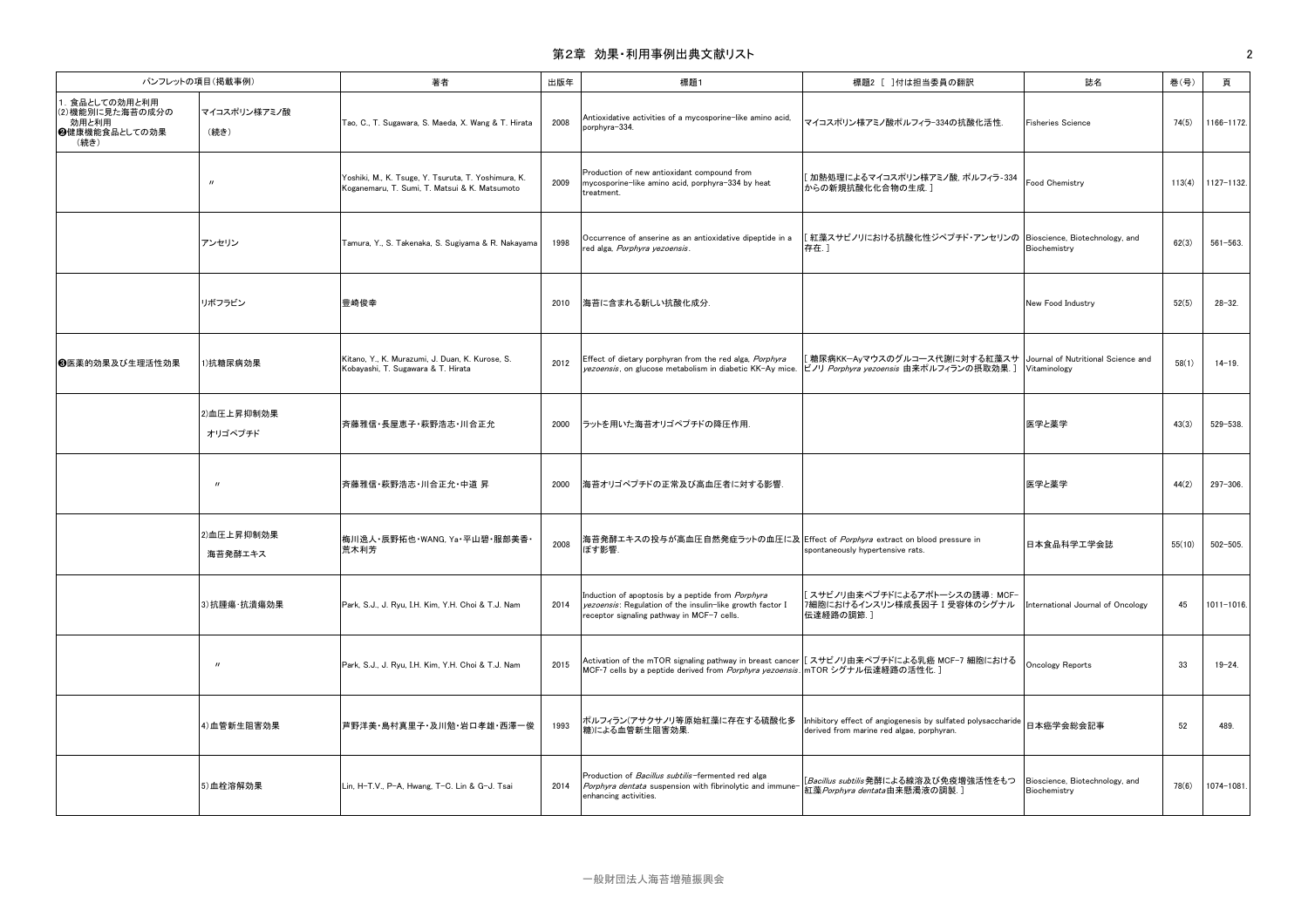# 第2章 効果・利用事例出典文献リスト 2010年 - 2010年 - 2010年 - 2010年 - 2010年 - 2010年 - 2010年 - 2010年 - 2010年 - 2010年 - 20

| パンフレットの項目(掲載事例)                                                      |                             | 著者                                                                                                   | 出版年  | 標題1                                                                                                                                                                        | 標題2 [ ]付は担当委員の翻訳                                                                                                          | 誌名                                             | 巻(号)   | 頁              |
|----------------------------------------------------------------------|-----------------------------|------------------------------------------------------------------------------------------------------|------|----------------------------------------------------------------------------------------------------------------------------------------------------------------------------|---------------------------------------------------------------------------------------------------------------------------|------------------------------------------------|--------|----------------|
| 1. 食品としての効用と利用<br>(2) 機能別に見た海苔の成分の<br>効用と利用<br>❷健康機能食品としての効果<br>(続き) | マイコスポリン様アミノ酸<br>(続き)        | Tao, C., T. Sugawara, S. Maeda, X. Wang & T. Hirata                                                  | 2008 | Antioxidative activities of a mycosporine-like amino acid,<br>porphyra-334.                                                                                                | マイコスポリン様アミノ酸ポルフィラ-334の抗酸化活性.                                                                                              | <b>Fisheries Science</b>                       | 74(5)  | 1166-1172.     |
|                                                                      | $\boldsymbol{\prime\prime}$ | Yoshiki, M., K. Tsuge, Y. Tsuruta, T. Yoshimura, K.<br>Koganemaru, T. Sumi, T. Matsui & K. Matsumoto | 2009 | Production of new antioxidant compound from<br>mycosporine-like amino acid, porphyra-334 by heat<br>treatment.                                                             | [ 加熱処理によるマイコスポリン様アミノ酸, ポルフィラ-334<br>からの新規抗酸化化合物の生成.]                                                                      | Food Chemistry                                 | 113(4) | 1127-1132.     |
|                                                                      | アンセリン                       | Tamura, Y., S. Takenaka, S. Sugiyama & R. Nakayama                                                   | 1998 | Occurrence of anserine as an antioxidative dipeptide in a<br>red alga, Porphyra yezoensis.                                                                                 | [紅藻スサビノリにおける抗酸化性ジペプチド・アンセリンの  Bioscience, Biotechnology, and<br>存在.]                                                      | Biochemistry                                   | 62(3)  | $561 - 563$ .  |
|                                                                      | リボフラビン                      | 豊崎俊幸                                                                                                 | 2010 | 海苔に含まれる新しい抗酸化成分.                                                                                                                                                           |                                                                                                                           | New Food Industry                              | 52(5)  | $28 - 32.$     |
| 6医薬的効果及び生理活性効果                                                       | 1)抗糖尿病効果                    | Kitano, Y., K. Murazumi, J. Duan, K. Kurose, S.<br>Kobayashi, T. Sugawara & T. Hirata                | 2012 | Effect of dietary porphyran from the red alga, Porphyra<br>yezoensis, on glucose metabolism in diabetic KK-Ay mice.                                                        | 糖尿病KK-Ayマウスのグルコース代謝に対する紅藻スサ  Journal of Nutritional Science and<br>ビノリ Porphyra yezoensis 由来ポルフィランの摂取効果.]                 | Vitaminology                                   | 58(1)  | $14 - 19.$     |
|                                                                      | 2) 血圧上昇抑制効果<br>オリゴペプチド      | 斉藤雅信・長屋恵子・萩野浩志・川合正允                                                                                  | 2000 | 「ラットを用いた海苔オリゴペプチドの降圧作用.                                                                                                                                                    |                                                                                                                           | 医学と薬学                                          | 43(3)  | 529-538.       |
|                                                                      | $^{\prime\prime}$           | 斉藤雅信・萩野浩志・川合正允・中道 昇                                                                                  | 2000 | 海苔オリゴペプチドの正常及び高血圧者に対する影響.                                                                                                                                                  |                                                                                                                           | 医学と薬学                                          | 44(2)  | 297-306.       |
|                                                                      | 2)血圧上昇抑制効果<br>海苔発酵エキス       | 梅川逸人・辰野拓也・WANG, Ya・平山碧・服部美香・<br>荒木利芳                                                                 | 2008 | 海苔発酵エキスの投与が高血圧自然発症ラットの血圧に及 Effect of Porphyra extract on blood pressure in<br>ぼす影響.                                                                                        | spontaneously hypertensive rats.                                                                                          | 日本食品科学工学会誌                                     | 55(10) | $502 - 505.$   |
|                                                                      | 3)抗腫瘍·抗潰瘍効果                 | Park, S.J., J. Ryu, I.H. Kim, Y.H. Choi & T.J. Nam                                                   | 2014 | Induction of apoptosis by a peptide from Porphyra<br>yezoensis: Regulation of the insulin-like growth factor I<br>receptor signaling pathway in MCF-7 cells.               | [スサビノリ由来ペプチドによるアポトーシスの誘導: MCF-<br>7細胞におけるインスリン様成長因子 I 受容体のシグナル<br>伝達経路の調節.]                                               | International Journal of Oncology              | 45     | $1011 - 1016.$ |
|                                                                      | $^{\prime\prime}$           | Park, S.J., J. Ryu, I.H. Kim, Y.H. Choi & T.J. Nam                                                   | 2015 | Activation of the mTOR signaling pathway in breast cancer  [スサビノリ由来ペプチドによる乳癌 MCF-7 細胞における<br>MCF-7 cells by a peptide derived from Porphyra yezoensis. mTOR シグナル伝達経路の活性化.] |                                                                                                                           | <b>Oncology Reports</b>                        | 33     | $19 - 24.$     |
|                                                                      | 4) 血管新生阻害効果                 | 芦野洋美・島村真里子・及川勉・岩口孝雄・西澤一俊                                                                             | 1993 | ポルフィラン(アサクサノリ等原始紅藻に存在する硫酸化多<br>糖)による血管新生阻害効果.                                                                                                                              | ┃<br>┃Inhibitory effect of angiogenesis by sulfated polysaccharide┃日本癌学会総会記事<br>derived from marine red algae, porphyran. |                                                | 52     | 489.           |
|                                                                      | 5) 血栓溶解効果                   | Lin, H-T.V., P-A, Hwang, T-C. Lin & G-J. Tsai                                                        | 2014 | Production of Bacillus subtilis-fermented red alga<br>Porphyra dentata suspension with fibrinolytic and immune<br>enhancing activities.                                    | [Bacillus subtilis発酵による線溶及び免疫増強活性をもつ<br>-<br>紅藻 <i>Porphyra dentata</i> 由来懸濁液の調製.]                                        | Bioscience, Biotechnology, and<br>Biochemistry | 78(6)  | 1074-1081.     |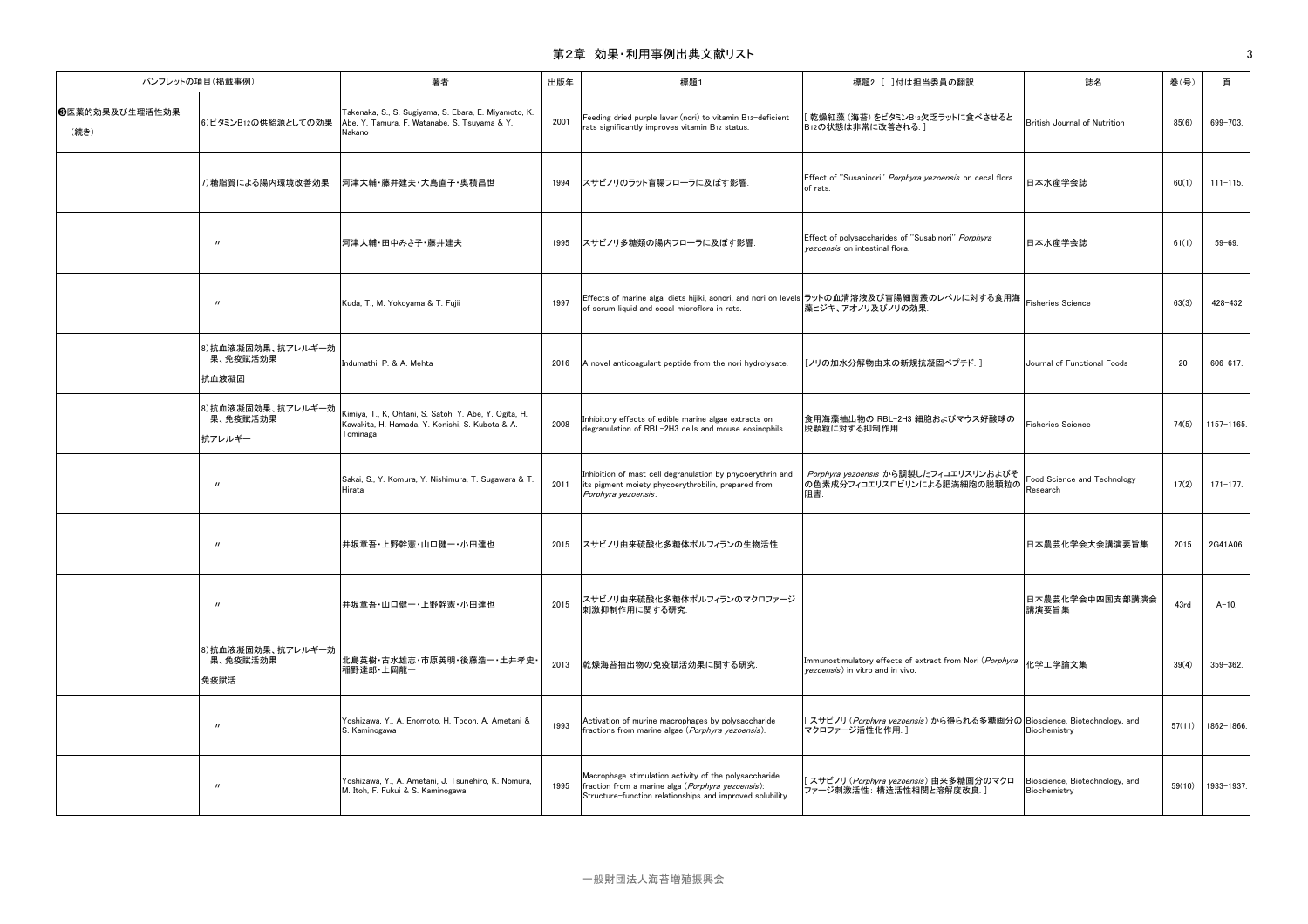## 第2章 効果・利用事例出典文献リスト 3

| パンフレットの項目(掲載事例)        |                                         | 著者                                                                                                                   | 出版年  | 標題1                                                                                                                                                                     | 標題2 [ ]付は担当委員の翻訳                                                                                                                       | 誌名                                             | 巻(号)   | 頁            |
|------------------------|-----------------------------------------|----------------------------------------------------------------------------------------------------------------------|------|-------------------------------------------------------------------------------------------------------------------------------------------------------------------------|----------------------------------------------------------------------------------------------------------------------------------------|------------------------------------------------|--------|--------------|
| 6医薬的効果及び生理活性効果<br>(続き) | 6)ビタミンB12の供給源としての効果                     | Takenaka, S., S. Sugiyama, S. Ebara, E. Miyamoto, K.<br>Abe, Y. Tamura, F. Watanabe, S. Tsuyama & Y.<br>Nakano       | 2001 | Feeding dried purple laver (nori) to vitamin B12-deficient<br>rats significantly improves vitamin B12 status.                                                           | [乾燥紅藻 (海苔) をビタミンB12欠乏ラットに食べさせると<br>B12の状態は非常に改善される.]                                                                                   | British Journal of Nutrition                   | 85(6)  | 699-703.     |
|                        | 7) 糖脂質による腸内環境改善効果                       | 河津大輔・藤井建夫・大島直子・奥積昌世                                                                                                  | 1994 | スサビノリのラット盲腸フローラに及ぼす影響.                                                                                                                                                  | Effect of "Susabinori" Porphyra yezoensis on cecal flora<br>of rats.                                                                   | 日本水産学会誌                                        | 60(1)  | $111 - 115.$ |
|                        | $^{\prime\prime}$                       | 河津大輔・田中みさ子・藤井建夫                                                                                                      | 1995 | スサビノリ多糖類の腸内フローラに及ぼす影響.                                                                                                                                                  | Effect of polysaccharides of "Susabinori" Porphyra<br>vezoensis on intestinal flora.                                                   | 日本水産学会誌                                        | 61(1)  | $59 - 69.$   |
|                        | $^{\prime\prime}$                       | Kuda, T., M. Yokoyama & T. Fujii                                                                                     | 1997 | Effects of marine algal diets hijiki, aonori, and nori on levels ラットの血清溶液及び盲腸細菌叢のレベルに対する食用海  <br>of serum liquid and cecal microflora in rats.                          | 藻ヒジキ、アオノリ及びノリの効果.                                                                                                                      |                                                | 63(3)  | 428-432.     |
|                        | 8)抗血液凝固効果、抗アレルギー効<br>果、免疫賦活効果<br>抗血液凝固  | Indumathi, P. & A. Mehta                                                                                             | 2016 | A novel anticoagulant peptide from the nori hydrolysate.                                                                                                                | [ノリの加水分解物由来の新規抗凝固ペプチド.]                                                                                                                | Journal of Functional Foods                    | 20     | $606 - 617.$ |
|                        | 8)抗血液凝固効果、抗アレルギー効<br>果、免疫賦活効果<br>抗アレルギー | Kimiya, T., K, Ohtani, S. Satoh, Y. Abe, Y. Ogita, H.<br>Kawakita, H. Hamada, Y. Konishi, S. Kubota & A.<br>Tominaga | 2008 | Inhibitory effects of edible marine algae extracts on<br>degranulation of RBL-2H3 cells and mouse eosinophils.                                                          | 食用海藻抽出物の RBL-2H3 細胞およびマウス好酸球の<br>脱顆粒に対する抑制作用.                                                                                          | <b>Fisheries Science</b>                       | 74(5)  | 1157-1165.   |
|                        | $^{\prime\prime}$                       | Sakai, S., Y. Komura, Y. Nishimura, T. Sugawara & T.<br>Hirata                                                       | 2011 | Inhibition of mast cell degranulation by phycoerythrin and<br>its pigment moiety phycoerythrobilin, prepared from<br>Porphyra yezoensis.                                | Porphyra yezoensis から調製したフィコエリスリンおよびそ<br>- <i>Porpriyra yezuchaia ix 〜 jima</i> se.c.<br> の色素成分フィコエリスロビリンによる肥満細胞の脱顆粒の  Research<br>阻害. | Food Science and Technology                    | 17(2)  | $171 - 177.$ |
|                        | $^{\prime\prime}$                       | 井坂章吾・上野幹憲・山口健一・小田達也                                                                                                  | 2015 | スサビノリ由来硫酸化多糖体ポルフィランの生物活性.                                                                                                                                               |                                                                                                                                        | 日本農芸化学会大会講演要旨集                                 | 2015   | 2G41A06.     |
|                        | $^{\prime\prime}$                       | 井坂章吾・山口健一・上野幹憲・小田達也                                                                                                  | 2015 | スサビノリ由来硫酸化多糖体ポルフィランのマクロファージ<br>刺激抑制作用に関する研究.                                                                                                                            |                                                                                                                                        | 日本農芸化学会中四国支部講演会<br>講演要旨集                       | 43rd   | $A-10.$      |
|                        | 8)抗血液凝固効果、抗アレルギー効<br>果、免疫賦活効果<br>免疫賦活   | 北島英樹・古水雄志・市原英明・後藤浩一・土井孝史<br>稲野達郎・上岡龍一                                                                                | 2013 | 乾燥海苔抽出物の免疫賦活効果に関する研究.                                                                                                                                                   | Immunostimulatory effects of extract from Nori (Porphyra<br>vezoensis) in vitro and in vivo.                                           | 化学工学論文集                                        | 39(4)  | 359-362.     |
|                        | $^{\prime\prime}$                       | Yoshizawa, Y., A. Enomoto, H. Todoh, A. Ametani &<br>S. Kaminogawa                                                   | 1993 | Activation of murine macrophages by polysaccharide<br>fractions from marine algae (Porphyra yezoensis).                                                                 | [スサビノリ ( <i>Porphyra yezoensis</i> ) から得られる多糖画分の Bioscience, Biotechnology, and<br>マクロファージ活性化作用.]                                      | Biochemistry                                   | 57(11) | 1862-1866.   |
|                        | $^{\prime\prime}$                       | Yoshizawa, Y., A. Ametani, J. Tsunehiro, K. Nomura,<br>M. Itoh, F. Fukui & S. Kaminogawa                             | 1995 | Macrophage stimulation activity of the polysaccharide<br>fraction from a marine alga (Porphyra yezoensis):<br>Structure-function relationships and improved solubility. | えサビノリ ( <i>Porphyra yezoensis</i> ) 由来多糖画分のマクロ<br>ファージ刺激活性: 構造活性相関と溶解度改良.]                                                             | Bioscience, Biotechnology, and<br>Biochemistry | 59(10) | 1933-1937.   |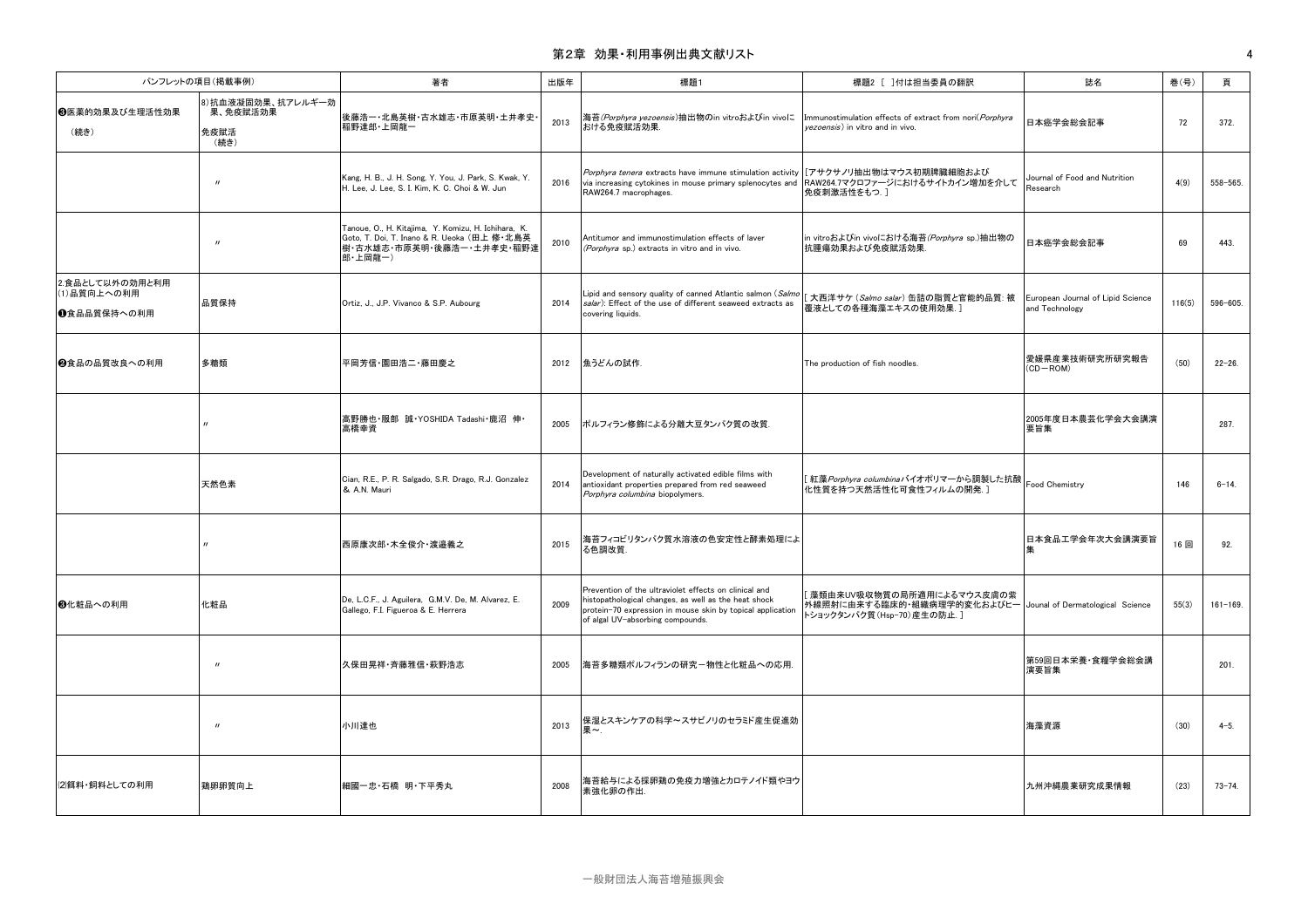### 第2章 効果・利用事例出典文献リスト ねんしょう しょうしょう しょうしょう しょうしょう しょうしゅう しょうしゅう インター・シーク

| パンフレットの項目(掲載事例)                                 |                                               | 著者                                                                                                                                         | 出版年  | 標題1                                                                                                                                                                                                             | 標題2 [ ]付は担当委員の翻訳                                                                                                        | 誌名                                                  | 巻(号)   | 頁            |
|-------------------------------------------------|-----------------------------------------------|--------------------------------------------------------------------------------------------------------------------------------------------|------|-----------------------------------------------------------------------------------------------------------------------------------------------------------------------------------------------------------------|-------------------------------------------------------------------------------------------------------------------------|-----------------------------------------------------|--------|--------------|
| 69医薬的効果及び生理活性効果<br>(続き)                         | 8)抗血液凝固効果、抗アレルギー効<br>果、免疫賦活効果<br>免疫賦活<br>(続き) | 後藤浩一・北島英樹・古水雄志・市原英明・土井孝史・<br>稲野達郎·上岡龍一                                                                                                     | 2013 | 海苔(Porphyra yezoensis)抽出物のin vitroおよびin vivoに<br>おける免疫賦活効果.                                                                                                                                                     | Immunostimulation effects of extract from nori(Porphyra<br>vezoensis) in vitro and in vivo.                             | 日本癌学会総会記事                                           | 72     | 372.         |
|                                                 | $^{\prime\prime}$                             | Kang, H. B., J. H. Song, Y. You, J. Park, S. Kwak, Y.<br>H. Lee, J. Lee, S. I. Kim, K. C. Choi & W. Jun                                    | 2016 | Porphyra tenera extracts have immune stimulation activity  [アサクサノリ抽出物はマウス初期脾臓細胞および<br>via increasing cytokines in mouse primary splenocytes and<br>RAW264.7 macrophages.                                        | RAW264.7マクロファージにおけるサイトカイン増加を介して<br>免疫刺激活性をもつ.]                                                                          | Journal of Food and Nutrition<br>Research           | 4(9)   | 558-565.     |
|                                                 | $^{\prime\prime}$                             | Tanoue, O., H. Kitajima, Y. Komizu, H. Ichihara, K.<br>Goto, T. Doi, T. Inano & R. Ueoka (田上 修·北島英<br>樹・古水雄志・市原英明・後藤浩一・土井孝史・稲野達<br>郎·上岡龍一) | 2010 | Antitumor and immunostimulation effects of laver<br>(Porphyra sp.) extracts in vitro and in vivo.                                                                                                               | in vitroおよびin vivoにおける海苔(Porphyra sp.)抽出物の<br>抗腫瘍効果および免疫賦活効果                                                            | 日本癌学会総会記事                                           | 69     | 443.         |
| 2.食品として以外の効用と利用<br>(1) 品質向上への利用<br> ❶食品品質保持への利用 | 品質保持                                          | Ortiz, J., J.P. Vivanco & S.P. Aubourg                                                                                                     | 2014 | Lipid and sensory quality of canned Atlantic salmon (Salmo<br>salar): Effect of the use of different seaweed extracts as<br>covering liquids.                                                                   | [ 大西洋サケ ( <i>Salmo salar</i> ) 缶詰の脂質と官能的品質: 被<br>覆液としての各種海藻エキスの使用効果.]                                                   | European Journal of Lipid Science<br>and Technology | 116(5) | 596-605.     |
| ❷食品の品質改良への利用                                    | 多糖類                                           | 平岡芳信・園田浩二・藤田慶之                                                                                                                             | 2012 | 魚うどんの試作.                                                                                                                                                                                                        | The production of fish noodles.                                                                                         | 愛媛県産業技術研究所研究報告<br>$(CD - ROM)$                      | (50)   | $22 - 26$ .  |
|                                                 |                                               | 高野勝也・服部 誠・YOSHIDA Tadashi・鹿沼 伸・<br>高橋幸資                                                                                                    | 2005 | ポルフィラン修飾による分離大豆タンパク質の改質.                                                                                                                                                                                        |                                                                                                                         | 2005年度日本農芸化学会大会講演<br>要旨集                            |        | 287.         |
|                                                 | 天然色素                                          | Cian, R.E., P. R. Salgado, S.R. Drago, R.J. Gonzalez<br>& A.N. Mauri                                                                       | 2014 | Development of naturally activated edible films with<br>antioxidant properties prepared from red seaweed<br>Porphyra columbina biopolymers.                                                                     | [ 紅藻 <i>Porphyra columbinaバ</i> イオポリマーから調製した抗酸   <sub>Food</sub> Chemistry<br>化性質を持つ天然活性化可食性フィルムの開発.]                   |                                                     | 146    | $6 - 14.$    |
|                                                 |                                               | 西原康次郎・木全俊介・渡邉義之                                                                                                                            | 2015 | 海苔フィコビリタンパク質水溶液の色安定性と酵素処理によ<br>る色調改質.                                                                                                                                                                           |                                                                                                                         | 日本食品工学会年次大会講演要旨                                     | 16回    | 92.          |
| 63化粧品への利用                                       | 化粧品                                           | De, L.C.F., J. Aguilera, G.M.V. De, M. Alvarez, E.<br>Gallego, F.I. Figueroa & E. Herrera                                                  | 2009 | Prevention of the ultraviolet effects on clinical and<br>histopathological changes, as well as the heat shock<br>protein-70 expression in mouse skin by topical application<br>of algal UV-absorbing compounds. | [藻類由来UV吸収物質の局所適用によるマウス皮膚の紫<br>外線照射に由来する臨床的・組織病理学的変化およびヒー Jounal of Dermatological Science<br>トショックタンパク質 (Hsp-70)産生の防止.] |                                                     | 55(3)  | $161 - 169.$ |
|                                                 | $^{\prime\prime}$                             | 久保田晃祥・斉藤雅信・萩野浩志                                                                                                                            | 2005 | 海苔多糖類ポルフィランの研究-物性と化粧品への応用.                                                                                                                                                                                      |                                                                                                                         | 第59回日本栄養・食糧学会総会講<br>演要旨集                            |        | 201.         |
|                                                 | $^{\prime\prime}$                             | 小川達也                                                                                                                                       | 2013 | 保湿とスキンケアの科学~スサビノリのセラミド産生促進効                                                                                                                                                                                     |                                                                                                                         | 海藻資源                                                | (30)   | $4 - 5.$     |
| (2)餌料・飼料としての利用                                  | 鶏卵卵質向上                                        | 細國一忠・石橋 明・下平秀丸                                                                                                                             | 2008 | 海苔給与による採卵鶏の免疫力増強とカロテノイド類やヨウ<br>素強化卵の作出.                                                                                                                                                                         |                                                                                                                         | 九州沖縄農業研究成果情報                                        | (23)   | $73 - 74.$   |